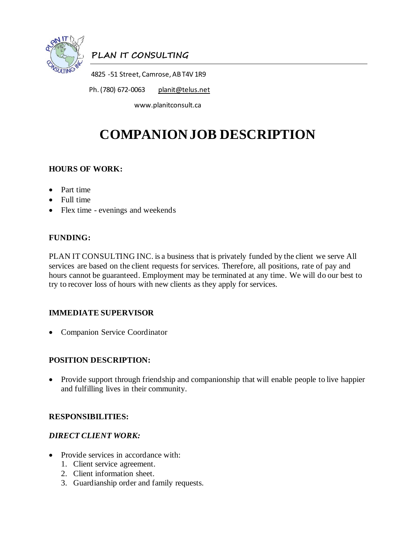

# **PLAN IT CONSULTING**

4825 -51 Street, Camrose, AB T4V 1R9

Ph. (780) 672-0063 [planit@telus.net](mailto:planit@telus.net)

www.planitconsult.ca

# **COMPANION JOB DESCRIPTION**

## **HOURS OF WORK:**

- Part time
- Full time
- Flex time evenings and weekends

#### **FUNDING:**

PLAN IT CONSULTING INC. is a business that is privately funded by the client we serve All services are based on the client requests for services. Therefore, all positions, rate of pay and hours cannot be guaranteed. Employment may be terminated at any time. We will do our best to try to recover loss of hours with new clients as they apply for services.

## **IMMEDIATE SUPERVISOR**

• Companion Service Coordinator

#### **POSITION DESCRIPTION:**

• Provide support through friendship and companionship that will enable people to live happier and fulfilling lives in their community.

#### **RESPONSIBILITIES:**

#### *DIRECT CLIENT WORK:*

- Provide services in accordance with:
	- 1. Client service agreement.
	- 2. Client information sheet.
	- 3. Guardianship order and family requests.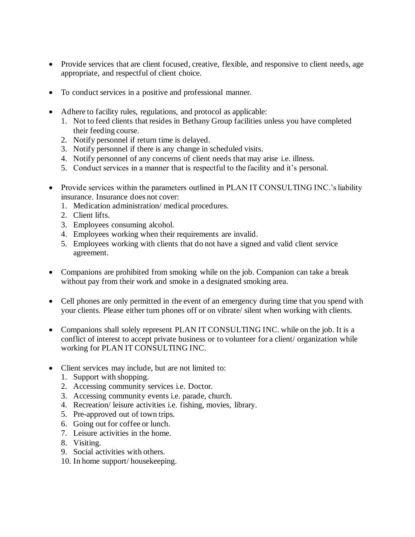- Provide services that are client focused, creative, flexible, and responsive to client needs, age appropriate, and respectful of client choice.
- To conduct services in a positive and professional manner.
- Adhere to facility rules, regulations, and protocol as applicable:
	- 1. Not to feed clients that resides in Bethany Group facilities unless you have completed their feeding course.
	- 2. Notify personnel if return time is delayed.
	- 3. Notify personnel if there is any change in scheduled visits.
	- 4. Notify personnel of any concerns of client needs that may arise i.e. illness.
	- 5. Conduct services in a manner that is respectful to the facility and it's personal.
- Provide services within the parameters outlined in PLAN IT CONSULTING INC.'s liability insurance. Insurance does not cover:
	- 1. Medication administration/ medical procedures.
	- 2. Client lifts.
	- 3. Employees consuming alcohol.
	- 4. Employees working when their requirements are invalid.
	- 5. Employees working with clients that do not have a signed and valid client service agreement.
- Companions are prohibited from smoking while on the job. Companion can take a break without pay from their work and smoke in a designated smoking area.
- Cell phones are only permitted in the event of an emergency during time that you spend with your clients. Please either turn phones off or on vibrate/ silent when working with clients.
- Companions shall solely represent PLAN IT CONSULTING INC. while on the job. It is a conflict of interest to accept private business or to volunteer for a client/ organization while working for PLAN IT CONSULTING INC.
- Client services may include, but are not limited to:
	- 1. Support with shopping.
	- 2. Accessing community services i.e. Doctor.
	- 3. Accessing community events i.e. parade, church.
	- 4. Recreation/ leisure activities i.e. fishing, movies, library.
	- 5. Pre-approved out of town trips.
	- 6. Going out for coffee or lunch.
	- 7. Leisure activities in the home.
	- 8. Visiting.
	- 9. Social activities with others.
	- 10. In home support/ housekeeping.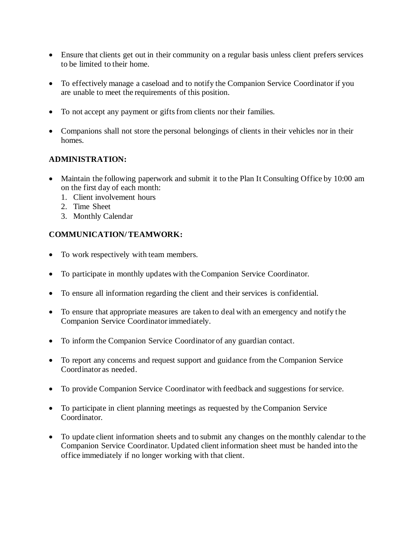- Ensure that clients get out in their community on a regular basis unless client prefers services to be limited to their home.
- To effectively manage a caseload and to notify the Companion Service Coordinator if you are unable to meet the requirements of this position.
- To not accept any payment or gifts from clients nor their families.
- Companions shall not store the personal belongings of clients in their vehicles nor in their homes.

#### **ADMINISTRATION:**

- Maintain the following paperwork and submit it to the Plan It Consulting Office by 10:00 am on the first day of each month:
	- 1. Client involvement hours
	- 2. Time Sheet
	- 3. Monthly Calendar

#### **COMMUNICATION/ TEAMWORK:**

- To work respectively with team members.
- To participate in monthly updates with the Companion Service Coordinator.
- To ensure all information regarding the client and their services is confidential.
- To ensure that appropriate measures are taken to deal with an emergency and notify the Companion Service Coordinator immediately.
- To inform the Companion Service Coordinator of any guardian contact.
- To report any concerns and request support and guidance from the Companion Service Coordinator as needed.
- To provide Companion Service Coordinator with feedback and suggestions for service.
- To participate in client planning meetings as requested by the Companion Service Coordinator.
- To update client information sheets and to submit any changes on the monthly calendar to the Companion Service Coordinator. Updated client information sheet must be handed into the office immediately if no longer working with that client.